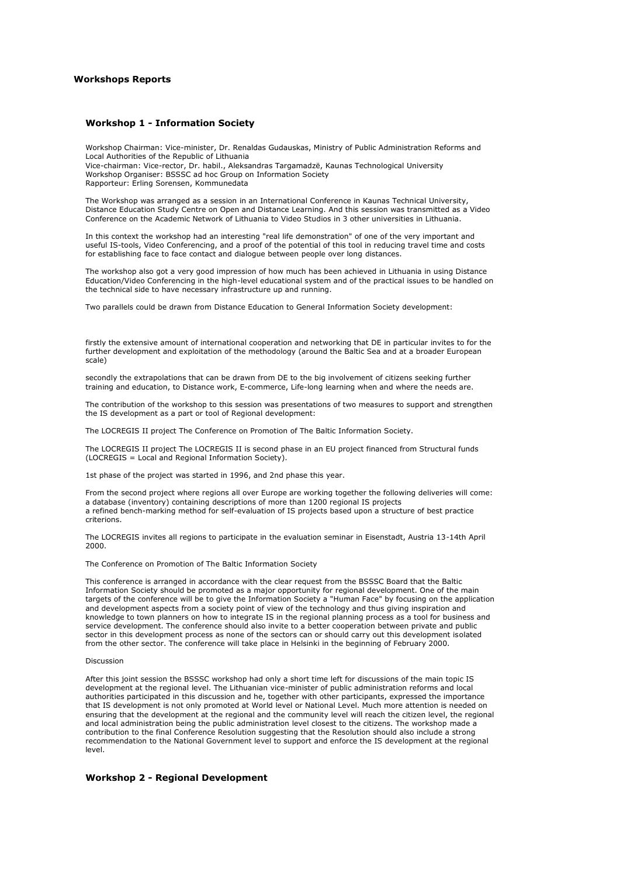## **Workshops Reports**

### **Workshop 1 - Information Society**

Workshop Chairman: Vice-minister, Dr. Renaldas Gudauskas, Ministry of Public Administration Reforms and Local Authorities of the Republic of Lithuania Vice-chairman: Vice-rector, Dr. habil., Aleksandras Targamadzë, Kaunas Technological University Workshop Organiser: BSSSC ad hoc Group on Information Society Rapporteur: Erling Sorensen, Kommunedata

The Workshop was arranged as a session in an International Conference in Kaunas Technical University, Distance Education Study Centre on Open and Distance Learning. And this session was transmitted as a Video Conference on the Academic Network of Lithuania to Video Studios in 3 other universities in Lithuania.

In this context the workshop had an interesting "real life demonstration" of one of the very important and useful IS-tools, Video Conferencing, and a proof of the potential of this tool in reducing travel time and costs for establishing face to face contact and dialogue between people over long distances.

The workshop also got a very good impression of how much has been achieved in Lithuania in using Distance Education/Video Conferencing in the high-level educational system and of the practical issues to be handled on the technical side to have necessary infrastructure up and running.

Two parallels could be drawn from Distance Education to General Information Society development:

firstly the extensive amount of international cooperation and networking that DE in particular invites to for the further development and exploitation of the methodology (around the Baltic Sea and at a broader European scale)

secondly the extrapolations that can be drawn from DE to the big involvement of citizens seeking further training and education, to Distance work, E-commerce, Life-long learning when and where the needs are.

The contribution of the workshop to this session was presentations of two measures to support and strengthen the IS development as a part or tool of Regional development:

The LOCREGIS II project The Conference on Promotion of The Baltic Information Society.

The LOCREGIS II project The LOCREGIS II is second phase in an EU project financed from Structural funds (LOCREGIS = Local and Regional Information Society).

1st phase of the project was started in 1996, and 2nd phase this year.

From the second project where regions all over Europe are working together the following deliveries will come: a database (inventory) containing descriptions of more than 1200 regional IS projects a refined bench-marking method for self-evaluation of IS projects based upon a structure of best practice criterions.

The LOCREGIS invites all regions to participate in the evaluation seminar in Eisenstadt, Austria 13-14th April 2000.

The Conference on Promotion of The Baltic Information Society

This conference is arranged in accordance with the clear request from the BSSSC Board that the Baltic Information Society should be promoted as a major opportunity for regional development. One of the main targets of the conference will be to give the Information Society a "Human Face" by focusing on the application and development aspects from a society point of view of the technology and thus giving inspiration and knowledge to town planners on how to integrate IS in the regional planning process as a tool for business and service development. The conference should also invite to a better cooperation between private and public sector in this development process as none of the sectors can or should carry out this development isolated from the other sector. The conference will take place in Helsinki in the beginning of February 2000.

#### Discussion

After this joint session the BSSSC workshop had only a short time left for discussions of the main topic IS development at the regional level. The Lithuanian vice-minister of public administration reforms and local authorities participated in this discussion and he, together with other participants, expressed the importance that IS development is not only promoted at World level or National Level. Much more attention is needed on ensuring that the development at the regional and the community level will reach the citizen level, the regional and local administration being the public administration level closest to the citizens. The workshop made a contribution to the final Conference Resolution suggesting that the Resolution should also include a strong recommendation to the National Government level to support and enforce the IS development at the regional level.

# **Workshop 2 - Regional Development**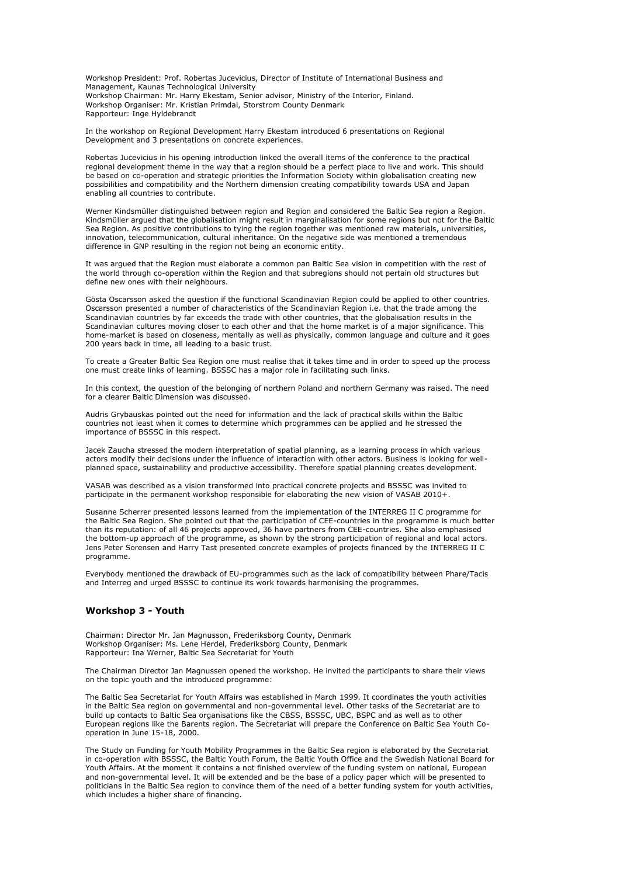Workshop President: Prof. Robertas Jucevicius, Director of Institute of International Business and Management, Kaunas Technological University Workshop Chairman: Mr. Harry Ekestam, Senior advisor, Ministry of the Interior, Finland. Workshop Organiser: Mr. Kristian Primdal, Storstrom County Denmark Rapporteur: Inge Hyldebrandt

In the workshop on Regional Development Harry Ekestam introduced 6 presentations on Regional Development and 3 presentations on concrete experiences.

Robertas Jucevicius in his opening introduction linked the overall items of the conference to the practical regional development theme in the way that a region should be a perfect place to live and work. This should be based on co-operation and strategic priorities the Information Society within globalisation creating new possibilities and compatibility and the Northern dimension creating compatibility towards USA and Japan enabling all countries to contribute.

Werner Kindsmüller distinguished between region and Region and considered the Baltic Sea region a Region. Kindsmüller argued that the globalisation might result in marginalisation for some regions but not for the Baltic Sea Region. As positive contributions to tying the region together was mentioned raw materials, universities, innovation, telecommunication, cultural inheritance. On the negative side was mentioned a tremendous difference in GNP resulting in the region not being an economic entity.

It was argued that the Region must elaborate a common pan Baltic Sea vision in competition with the rest of the world through co-operation within the Region and that subregions should not pertain old structures but define new ones with their neighbours.

Gösta Oscarsson asked the question if the functional Scandinavian Region could be applied to other countries. Oscarsson presented a number of characteristics of the Scandinavian Region i.e. that the trade among the Scandinavian countries by far exceeds the trade with other countries, that the globalisation results in the Scandinavian cultures moving closer to each other and that the home market is of a major significance. This home-market is based on closeness, mentally as well as physically, common language and culture and it goes 200 years back in time, all leading to a basic trust.

To create a Greater Baltic Sea Region one must realise that it takes time and in order to speed up the process one must create links of learning. BSSSC has a major role in facilitating such links.

In this context, the question of the belonging of northern Poland and northern Germany was raised. The need for a clearer Baltic Dimension was discussed.

Audris Grybauskas pointed out the need for information and the lack of practical skills within the Baltic countries not least when it comes to determine which programmes can be applied and he stressed the importance of BSSSC in this respect.

Jacek Zaucha stressed the modern interpretation of spatial planning, as a learning process in which various actors modify their decisions under the influence of interaction with other actors. Business is looking for wellplanned space, sustainability and productive accessibility. Therefore spatial planning creates development.

VASAB was described as a vision transformed into practical concrete projects and BSSSC was invited to participate in the permanent workshop responsible for elaborating the new vision of VASAB 2010+.

Susanne Scherrer presented lessons learned from the implementation of the INTERREG II C programme for the Baltic Sea Region. She pointed out that the participation of CEE-countries in the programme is much better than its reputation: of all 46 projects approved, 36 have partners from CEE-countries. She also emphasised the bottom-up approach of the programme, as shown by the strong participation of regional and local actors. Jens Peter Sorensen and Harry Tast presented concrete examples of projects financed by the INTERREG II C programme.

Everybody mentioned the drawback of EU-programmes such as the lack of compatibility between Phare/Tacis and Interreg and urged BSSSC to continue its work towards harmonising the programmes.

# **Workshop 3 - Youth**

Chairman: Director Mr. Jan Magnusson, Frederiksborg County, Denmark Workshop Organiser: Ms. Lene Herdel, Frederiksborg County, Denmark Rapporteur: Ina Werner, Baltic Sea Secretariat for Youth

The Chairman Director Jan Magnussen opened the workshop. He invited the participants to share their views on the topic youth and the introduced programme:

The Baltic Sea Secretariat for Youth Affairs was established in March 1999. It coordinates the youth activities in the Baltic Sea region on governmental and non-governmental level. Other tasks of the Secretariat are to build up contacts to Baltic Sea organisations like the CBSS, BSSSC, UBC, BSPC and as well as to other European regions like the Barents region. The Secretariat will prepare the Conference on Baltic Sea Youth Cooperation in June 15-18, 2000.

The Study on Funding for Youth Mobility Programmes in the Baltic Sea region is elaborated by the Secretariat in co-operation with BSSSC, the Baltic Youth Forum, the Baltic Youth Office and the Swedish National Board for Youth Affairs. At the moment it contains a not finished overview of the funding system on national, European and non-governmental level. It will be extended and be the base of a policy paper which will be presented to politicians in the Baltic Sea region to convince them of the need of a better funding system for youth activities, which includes a higher share of financing.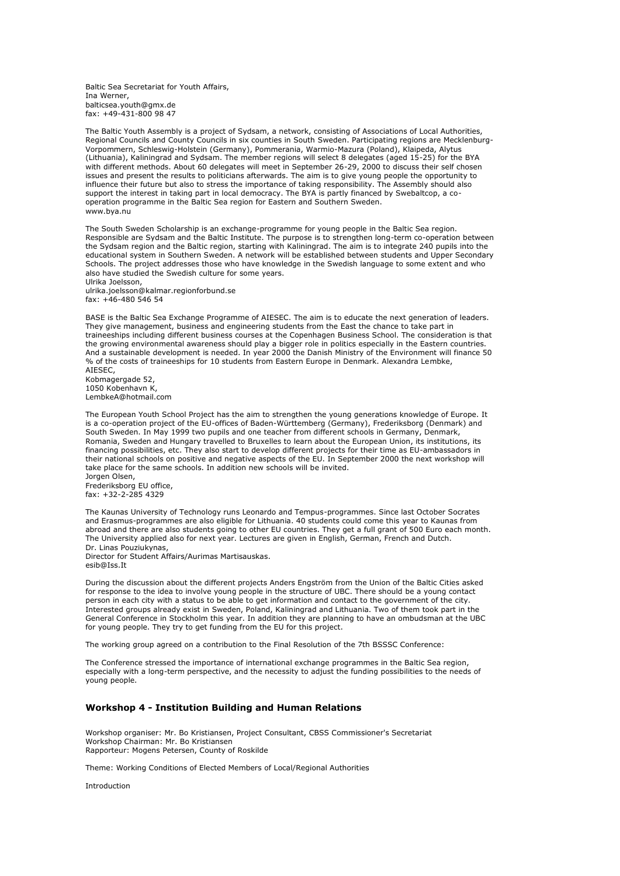Baltic Sea Secretariat for Youth Affairs, Ina Werner, balticsea.youth@gmx.de fax: +49-431-800 98 47

The Baltic Youth Assembly is a project of Sydsam, a network, consisting of Associations of Local Authorities, Regional Councils and County Councils in six counties in South Sweden. Participating regions are Mecklenburg-Vorpommern, Schleswig-Holstein (Germany), Pommerania, Warmio-Mazura (Poland), Klaipeda, Alytus (Lithuania), Kaliningrad and Sydsam. The member regions will select 8 delegates (aged 15-25) for the BYA with different methods. About 60 delegates will meet in September 26-29, 2000 to discuss their self chosen issues and present the results to politicians afterwards. The aim is to give young people the opportunity to influence their future but also to stress the importance of taking responsibility. The Assembly should also support the interest in taking part in local democracy. The BYA is partly financed by Swebaltcop, a cooperation programme in the Baltic Sea region for Eastern and Southern Sweden. www.bya.nu

The South Sweden Scholarship is an exchange-programme for young people in the Baltic Sea region. Responsible are Sydsam and the Baltic Institute. The purpose is to strengthen long-term co-operation between the Sydsam region and the Baltic region, starting with Kaliningrad. The aim is to integrate 240 pupils into the educational system in Southern Sweden. A network will be established between students and Upper Secondary Schools. The project addresses those who have knowledge in the Swedish language to some extent and who also have studied the Swedish culture for some years.

Ulrika Joelsson, ulrika.joelsson@kalmar.regionforbund.se fax: +46-480 546 54

BASE is the Baltic Sea Exchange Programme of AIESEC. The aim is to educate the next generation of leaders. They give management, business and engineering students from the East the chance to take part in traineeships including different business courses at the Copenhagen Business School. The consideration is that the growing environmental awareness should play a bigger role in politics especially in the Eastern countries. And a sustainable development is needed. In year 2000 the Danish Ministry of the Environment will finance 50 % of the costs of traineeships for 10 students from Eastern Europe in Denmark. Alexandra Lembke, AIESEC,

Kobmagergade 52, 1050 Kobenhavn K, LembkeA@hotmail.com

The European Youth School Project has the aim to strengthen the young generations knowledge of Europe. It is a co-operation project of the EU-offices of Baden-Württemberg (Germany), Frederiksborg (Denmark) and South Sweden. In May 1999 two pupils and one teacher from different schools in Germany, Denmark, Romania, Sweden and Hungary travelled to Bruxelles to learn about the European Union, its institutions, its financing possibilities, etc. They also start to develop different projects for their time as EU-ambassadors in their national schools on positive and negative aspects of the EU. In September 2000 the next workshop will take place for the same schools. In addition new schools will be invited.

Jorgen Olsen, Frederiksborg EU office, fax: +32-2-285 4329

The Kaunas University of Technology runs Leonardo and Tempus-programmes. Since last October Socrates and Erasmus-programmes are also eligible for Lithuania. 40 students could come this year to Kaunas from abroad and there are also students going to other EU countries. They get a full grant of 500 Euro each month. The University applied also for next year. Lectures are given in English, German, French and Dutch. Dr. Linas Pouziukynas,

Director for Student Affairs/Aurimas Martisauskas. esib@Iss.It

During the discussion about the different projects Anders Engström from the Union of the Baltic Cities asked for response to the idea to involve young people in the structure of UBC. There should be a young contact person in each city with a status to be able to get information and contact to the government of the city. Interested groups already exist in Sweden, Poland, Kaliningrad and Lithuania. Two of them took part in the General Conference in Stockholm this year. In addition they are planning to have an ombudsman at the UBC for young people. They try to get funding from the EU for this project.

The working group agreed on a contribution to the Final Resolution of the 7th BSSSC Conference:

The Conference stressed the importance of international exchange programmes in the Baltic Sea region, especially with a long-term perspective, and the necessity to adjust the funding possibilities to the needs of young people.

## **Workshop 4 - Institution Building and Human Relations**

Workshop organiser: Mr. Bo Kristiansen, Project Consultant, CBSS Commissioner's Secretariat Workshop Chairman: Mr. Bo Kristiansen Rapporteur: Mogens Petersen, County of Roskilde

Theme: Working Conditions of Elected Members of Local/Regional Authorities

Introduction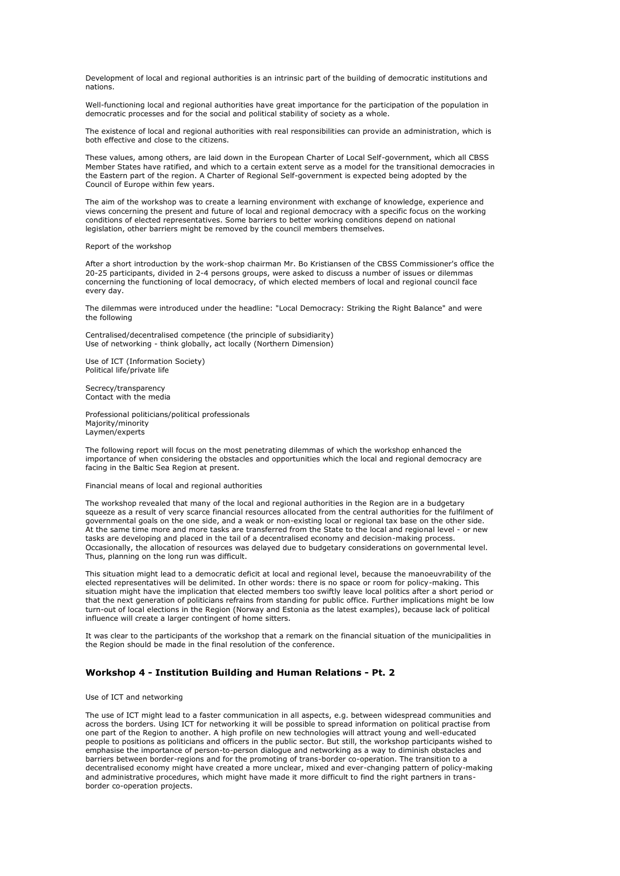Development of local and regional authorities is an intrinsic part of the building of democratic institutions and nations.

Well-functioning local and regional authorities have great importance for the participation of the population in democratic processes and for the social and political stability of society as a whole.

The existence of local and regional authorities with real responsibilities can provide an administration, which is both effective and close to the citizens.

These values, among others, are laid down in the European Charter of Local Self-government, which all CBSS Member States have ratified, and which to a certain extent serve as a model for the transitional democracies in the Eastern part of the region. A Charter of Regional Self-government is expected being adopted by the Council of Europe within few years.

The aim of the workshop was to create a learning environment with exchange of knowledge, experience and views concerning the present and future of local and regional democracy with a specific focus on the working conditions of elected representatives. Some barriers to better working conditions depend on national legislation, other barriers might be removed by the council members themselves.

Report of the workshop

After a short introduction by the work-shop chairman Mr. Bo Kristiansen of the CBSS Commissioner's office the 20-25 participants, divided in 2-4 persons groups, were asked to discuss a number of issues or dilemmas concerning the functioning of local democracy, of which elected members of local and regional council face every day.

The dilemmas were introduced under the headline: "Local Democracy: Striking the Right Balance" and were the following

Centralised/decentralised competence (the principle of subsidiarity) Use of networking - think globally, act locally (Northern Dimension)

Use of ICT (Information Society) Political life/private life

Secrecy/transparency Contact with the media

Professional politicians/political professionals Majority/minority Laymen/experts

The following report will focus on the most penetrating dilemmas of which the workshop enhanced the importance of when considering the obstacles and opportunities which the local and regional democracy are facing in the Baltic Sea Region at present.

Financial means of local and regional authorities

The workshop revealed that many of the local and regional authorities in the Region are in a budgetary squeeze as a result of very scarce financial resources allocated from the central authorities for the fulfilment of governmental goals on the one side, and a weak or non-existing local or regional tax base on the other side. At the same time more and more tasks are transferred from the State to the local and regional level - or new tasks are developing and placed in the tail of a decentralised economy and decision-making process. Occasionally, the allocation of resources was delayed due to budgetary considerations on governmental level. Thus, planning on the long run was difficult.

This situation might lead to a democratic deficit at local and regional level, because the manoeuvrability of the elected representatives will be delimited. In other words: there is no space or room for policy-making. This situation might have the implication that elected members too swiftly leave local politics after a short period or that the next generation of politicians refrains from standing for public office. Further implications might be low turn-out of local elections in the Region (Norway and Estonia as the latest examples), because lack of political influence will create a larger contingent of home sitters.

It was clear to the participants of the workshop that a remark on the financial situation of the municipalities in the Region should be made in the final resolution of the conference.

# **Workshop 4 - Institution Building and Human Relations - Pt. 2**

### Use of ICT and networking

The use of ICT might lead to a faster communication in all aspects, e.g. between widespread communities and across the borders. Using ICT for networking it will be possible to spread information on political practise from one part of the Region to another. A high profile on new technologies will attract young and well-educated people to positions as politicians and officers in the public sector. But still, the workshop participants wished to emphasise the importance of person-to-person dialogue and networking as a way to diminish obstacles and barriers between border-regions and for the promoting of trans-border co-operation. The transition to a decentralised economy might have created a more unclear, mixed and ever-changing pattern of policy-making and administrative procedures, which might have made it more difficult to find the right partners in transborder co-operation projects.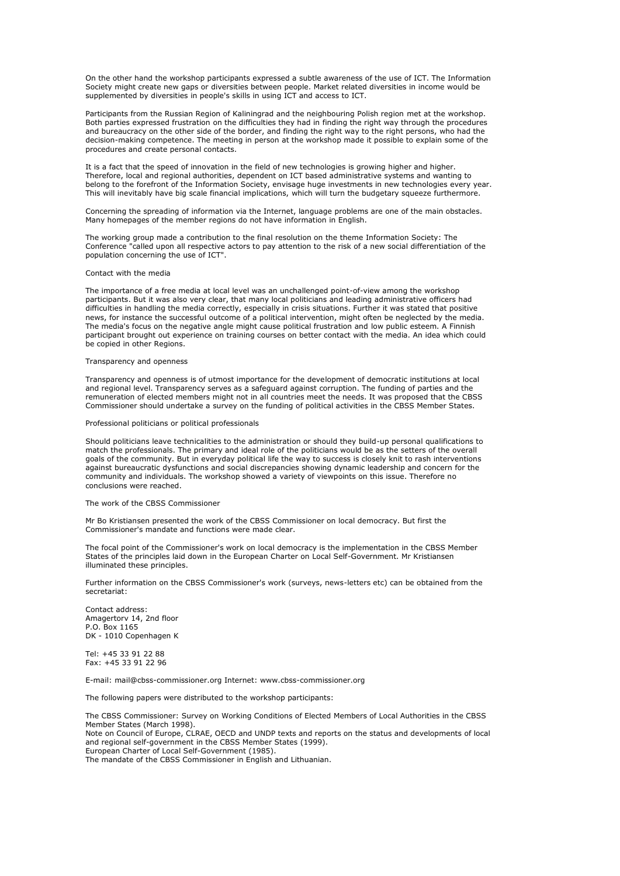On the other hand the workshop participants expressed a subtle awareness of the use of ICT. The Information Society might create new gaps or diversities between people. Market related diversities in income would be supplemented by diversities in people's skills in using ICT and access to ICT.

Participants from the Russian Region of Kaliningrad and the neighbouring Polish region met at the workshop. Both parties expressed frustration on the difficulties they had in finding the right way through the procedures and bureaucracy on the other side of the border, and finding the right way to the right persons, who had the decision-making competence. The meeting in person at the workshop made it possible to explain some of the procedures and create personal contacts.

It is a fact that the speed of innovation in the field of new technologies is growing higher and higher. Therefore, local and regional authorities, dependent on ICT based administrative systems and wanting to belong to the forefront of the Information Society, envisage huge investments in new technologies every year. This will inevitably have big scale financial implications, which will turn the budgetary squeeze furthermore.

Concerning the spreading of information via the Internet, language problems are one of the main obstacles. Many homepages of the member regions do not have information in English.

The working group made a contribution to the final resolution on the theme Information Society: The Conference "called upon all respective actors to pay attention to the risk of a new social differentiation of the population concerning the use of ICT".

#### Contact with the media

The importance of a free media at local level was an unchallenged point-of-view among the workshop participants. But it was also very clear, that many local politicians and leading administrative officers had difficulties in handling the media correctly, especially in crisis situations. Further it was stated that positive news, for instance the successful outcome of a political intervention, might often be neglected by the media. The media's focus on the negative angle might cause political frustration and low public esteem. A Finnish participant brought out experience on training courses on better contact with the media. An idea which could be copied in other Regions.

### Transparency and openness

Transparency and openness is of utmost importance for the development of democratic institutions at local and regional level. Transparency serves as a safeguard against corruption. The funding of parties and the remuneration of elected members might not in all countries meet the needs. It was proposed that the CBSS Commissioner should undertake a survey on the funding of political activities in the CBSS Member States.

#### Professional politicians or political professionals

Should politicians leave technicalities to the administration or should they build-up personal qualifications to match the professionals. The primary and ideal role of the politicians would be as the setters of the overall goals of the community. But in everyday political life the way to success is closely knit to rash interventions against bureaucratic dysfunctions and social discrepancies showing dynamic leadership and concern for the community and individuals. The workshop showed a variety of viewpoints on this issue. Therefore no conclusions were reached.

#### The work of the CBSS Commissioner

Mr Bo Kristiansen presented the work of the CBSS Commissioner on local democracy. But first the Commissioner's mandate and functions were made clear.

The focal point of the Commissioner's work on local democracy is the implementation in the CBSS Member States of the principles laid down in the European Charter on Local Self-Government. Mr Kristiansen illuminated these principles.

Further information on the CBSS Commissioner's work (surveys, news-letters etc) can be obtained from the secretariat:

Contact address: Amagertorv 14, 2nd floor P.O. Box 1165 DK - 1010 Copenhagen K

Tel: +45 33 91 22 88 Fax: +45 33 91 22 96

E-mail: mail@cbss-commissioner.org Internet: www.cbss-commissioner.org

The following papers were distributed to the workshop participants:

The CBSS Commissioner: Survey on Working Conditions of Elected Members of Local Authorities in the CBSS Member States (March 1998).

Note on Council of Europe, CLRAE, OECD and UNDP texts and reports on the status and developments of local and regional self-government in the CBSS Member States (1999). European Charter of Local Self-Government (1985).

The mandate of the CBSS Commissioner in English and Lithuanian.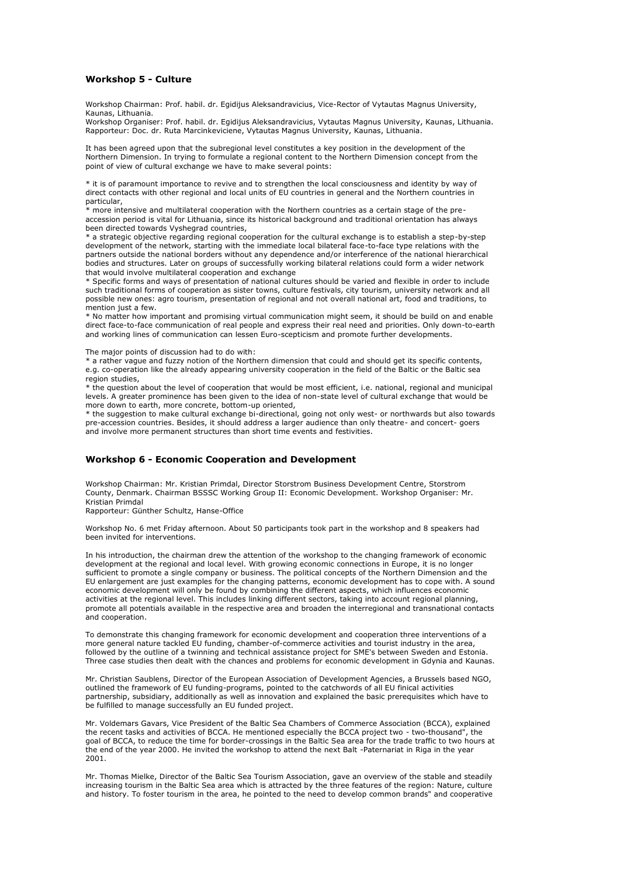### **Workshop 5 - Culture**

Workshop Chairman: Prof. habil. dr. Egidijus Aleksandravicius, Vice-Rector of Vytautas Magnus University, Kaunas, Lithuania.

Workshop Organiser: Prof. habil. dr. Egidijus Aleksandravicius, Vytautas Magnus University, Kaunas, Lithuania. Rapporteur: Doc. dr. Ruta Marcinkeviciene, Vytautas Magnus University, Kaunas, Lithuania.

It has been agreed upon that the subregional level constitutes a key position in the development of the Northern Dimension. In trying to formulate a regional content to the Northern Dimension concept from the point of view of cultural exchange we have to make several points:

\* it is of paramount importance to revive and to strengthen the local consciousness and identity by way of direct contacts with other regional and local units of EU countries in general and the Northern countries in particular,

\* more intensive and multilateral cooperation with the Northern countries as a certain stage of the preaccession period is vital for Lithuania, since its historical background and traditional orientation has always been directed towards Vyshegrad countries,

\* a strategic objective regarding regional cooperation for the cultural exchange is to establish a step-by-step development of the network, starting with the immediate local bilateral face-to-face type relations with the partners outside the national borders without any dependence and/or interference of the national hierarchical bodies and structures. Later on groups of successfully working bilateral relations could form a wider network that would involve multilateral cooperation and exchange

\* Specific forms and ways of presentation of national cultures should be varied and flexible in order to include such traditional forms of cooperation as sister towns, culture festivals, city tourism, university network and all possible new ones: agro tourism, presentation of regional and not overall national art, food and traditions, to mention just a few

\* No matter how important and promising virtual communication might seem, it should be build on and enable direct face-to-face communication of real people and express their real need and priorities. Only down-to-earth and working lines of communication can lessen Euro-scepticism and promote further developments.

The major points of discussion had to do with:

\* a rather vague and fuzzy notion of the Northern dimension that could and should get its specific contents, e.g. co-operation like the already appearing university cooperation in the field of the Baltic or the Baltic sea region studies,

\* the question about the level of cooperation that would be most efficient, i.e. national, regional and municipal levels. A greater prominence has been given to the idea of non-state level of cultural exchange that would be more down to earth, more concrete, bottom-up oriented,

\* the suggestion to make cultural exchange bi-directional, going not only west- or northwards but also towards pre-accession countries. Besides, it should address a larger audience than only theatre- and concert- goers and involve more permanent structures than short time events and festivities.

# **Workshop 6 - Economic Cooperation and Development**

Workshop Chairman: Mr. Kristian Primdal, Director Storstrom Business Development Centre, Storstrom County, Denmark. Chairman BSSSC Working Group II: Economic Development. Workshop Organiser: Mr. Kristian Primdal

Rapporteur: Günther Schultz, Hanse-Office

Workshop No. 6 met Friday afternoon. About 50 participants took part in the workshop and 8 speakers had been invited for interventions.

In his introduction, the chairman drew the attention of the workshop to the changing framework of economic development at the regional and local level. With growing economic connections in Europe, it is no longer sufficient to promote a single company or business. The political concepts of the Northern Dimension and the EU enlargement are just examples for the changing patterns, economic development has to cope with. A sound economic development will only be found by combining the different aspects, which influences economic activities at the regional level. This includes linking different sectors, taking into account regional planning, promote all potentials available in the respective area and broaden the interregional and transnational contacts and cooperation.

To demonstrate this changing framework for economic development and cooperation three interventions of a more general nature tackled EU funding, chamber-of-commerce activities and tourist industry in the area, followed by the outline of a twinning and technical assistance project for SME's between Sweden and Estonia. Three case studies then dealt with the chances and problems for economic development in Gdynia and Kaunas.

Mr. Christian Saublens, Director of the European Association of Development Agencies, a Brussels based NGO, outlined the framework of EU funding-programs, pointed to the catchwords of all EU finical activities partnership, subsidiary, additionally as well as innovation and explained the basic prerequisites which have to be fulfilled to manage successfully an EU funded project.

Mr. Voldemars Gavars, Vice President of the Baltic Sea Chambers of Commerce Association (BCCA), explained the recent tasks and activities of BCCA. He mentioned especially the BCCA project two - two-thousand", the goal of BCCA, to reduce the time for border-crossings in the Baltic Sea area for the trade traffic to two hours at the end of the year 2000. He invited the workshop to attend the next Balt -Paternariat in Riga in the year 2001.

Mr. Thomas Mielke, Director of the Baltic Sea Tourism Association, gave an overview of the stable and steadily increasing tourism in the Baltic Sea area which is attracted by the three features of the region: Nature, culture and history. To foster tourism in the area, he pointed to the need to develop common brands" and cooperative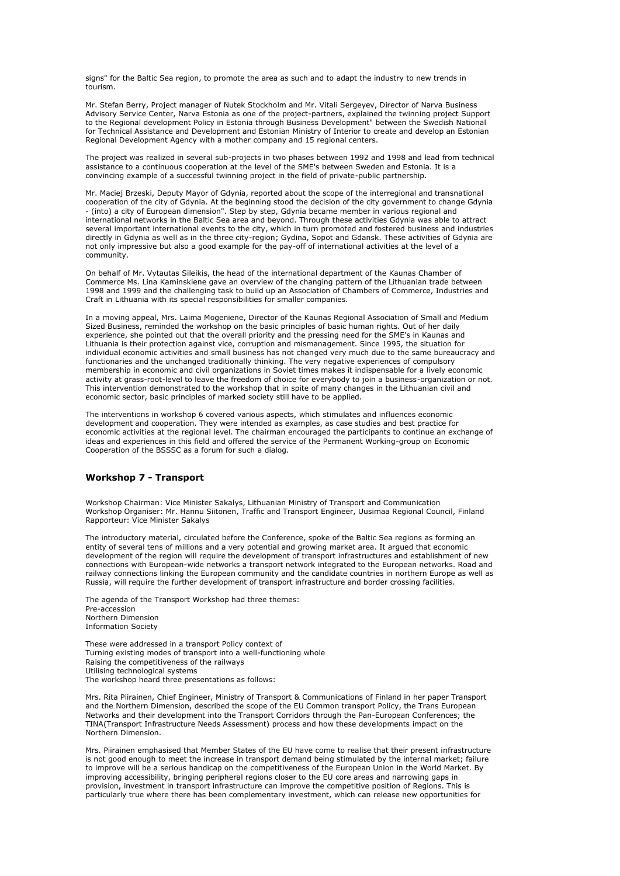signs" for the Baltic Sea region, to promote the area as such and to adapt the industry to new trends in tourism.

Mr. Stefan Berry, Project manager of Nutek Stockholm and Mr. Vitali Sergeyev, Director of Narva Business Advisory Service Center, Narva Estonia as one of the project-partners, explained the twinning project Support to the Regional development Policy in Estonia through Business Development" between the Swedish National for Technical Assistance and Development and Estonian Ministry of Interior to create and develop an Estonian Regional Development Agency with a mother company and 15 regional centers.

The project was realized in several sub-projects in two phases between 1992 and 1998 and lead from technical assistance to a continuous cooperation at the level of the SME's between Sweden and Estonia. It is a convincing example of a successful twinning project in the field of private-public partnership.

Mr. Maciej Brzeski, Deputy Mayor of Gdynia, reported about the scope of the interregional and transnational cooperation of the city of Gdynia. At the beginning stood the decision of the city government to change Gdynia - (into) a city of European dimension". Step by step, Gdynia became member in various regional and international networks in the Baltic Sea area and beyond. Through these activities Gdynia was able to attract several important international events to the city, which in turn promoted and fostered business and industries directly in Gdynia as well as in the three city-region; Gydina, Sopot and Gdansk. These activities of Gdynia are not only impressive but also a good example for the pay-off of international activities at the level of a community.

On behalf of Mr. Vytautas Sileikis, the head of the international department of the Kaunas Chamber of Commerce Ms. Lina Kaminskiene gave an overview of the changing pattern of the Lithuanian trade between 1998 and 1999 and the challenging task to build up an Association of Chambers of Commerce, Industries and Craft in Lithuania with its special responsibilities for smaller companies.

In a moving appeal, Mrs. Laima Mogeniene, Director of the Kaunas Regional Association of Small and Medium Sized Business, reminded the workshop on the basic principles of basic human rights. Out of her daily experience, she pointed out that the overall priority and the pressing need for the SME's in Kaunas and Lithuania is their protection against vice, corruption and mismanagement. Since 1995, the situation for individual economic activities and small business has not changed very much due to the same bureaucracy and functionaries and the unchanged traditionally thinking. The very negative experiences of compulsory membership in economic and civil organizations in Soviet times makes it indispensable for a lively economic activity at grass-root-level to leave the freedom of choice for everybody to join a business-organization or not. This intervention demonstrated to the workshop that in spite of many changes in the Lithuanian civil and economic sector, basic principles of marked society still have to be applied.

The interventions in workshop 6 covered various aspects, which stimulates and influences economic development and cooperation. They were intended as examples, as case studies and best practice for economic activities at the regional level. The chairman encouraged the participants to continue an exchange of ideas and experiences in this field and offered the service of the Permanent Working-group on Economic Cooperation of the BSSSC as a forum for such a dialog.

# **Workshop 7 - Transport**

Workshop Chairman: Vice Minister Sakalys, Lithuanian Ministry of Transport and Communication Workshop Organiser: Mr. Hannu Siitonen, Traffic and Transport Engineer, Uusimaa Regional Council, Finland Rapporteur: Vice Minister Sakalys

The introductory material, circulated before the Conference, spoke of the Baltic Sea regions as forming an entity of several tens of millions and a very potential and growing market area. It argued that economic development of the region will require the development of transport infrastructures and establishment of new connections with European-wide networks a transport network integrated to the European networks. Road and railway connections linking the European community and the candidate countries in northern Europe as well as Russia, will require the further development of transport infrastructure and border crossing facilities.

The agenda of the Transport Workshop had three themes: Pre-accession Northern Dimension Information Society

These were addressed in a transport Policy context of Turning existing modes of transport into a well-functioning whole Raising the competitiveness of the railways Utilising technological systems The workshop heard three presentations as follows:

Mrs. Rita Piirainen, Chief Engineer, Ministry of Transport & Communications of Finland in her paper Transport and the Northern Dimension, described the scope of the EU Common transport Policy, the Trans European Networks and their development into the Transport Corridors through the Pan-European Conferences; the TINA(Transport Infrastructure Needs Assessment) process and how these developments impact on the Northern Dimension.

Mrs. Piirainen emphasised that Member States of the EU have come to realise that their present infrastructure is not good enough to meet the increase in transport demand being stimulated by the internal market; failure to improve will be a serious handicap on the competitiveness of the European Union in the World Market. By improving accessibility, bringing peripheral regions closer to the EU core areas and narrowing gaps in provision, investment in transport infrastructure can improve the competitive position of Regions. This is particularly true where there has been complementary investment, which can release new opportunities for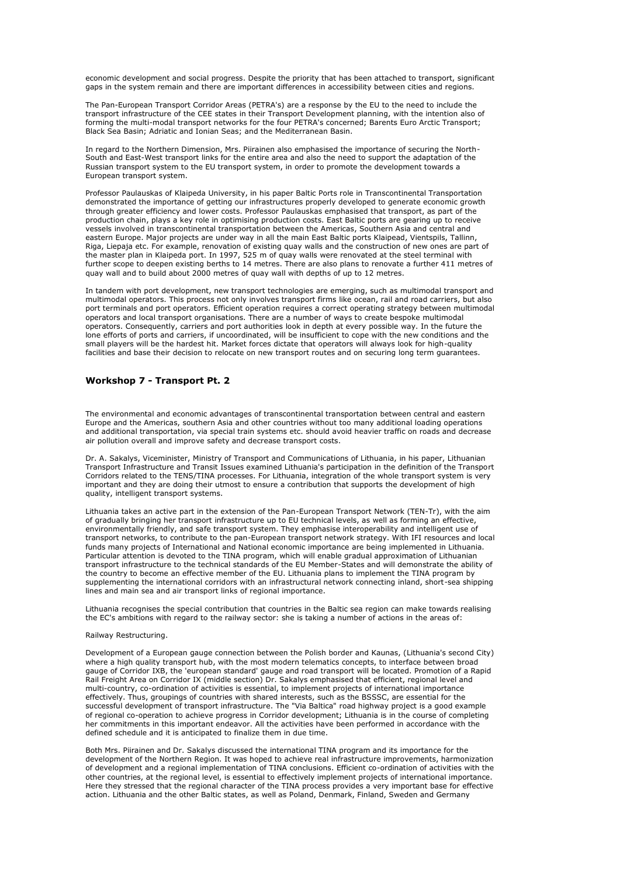economic development and social progress. Despite the priority that has been attached to transport, significant gaps in the system remain and there are important differences in accessibility between cities and regions.

The Pan-European Transport Corridor Areas (PETRA's) are a response by the EU to the need to include the transport infrastructure of the CEE states in their Transport Development planning, with the intention also of forming the multi-modal transport networks for the four PETRA's concerned; Barents Euro Arctic Transport; Black Sea Basin; Adriatic and Ionian Seas; and the Mediterranean Basin.

In regard to the Northern Dimension, Mrs. Piirainen also emphasised the importance of securing the North-South and East-West transport links for the entire area and also the need to support the adaptation of the Russian transport system to the EU transport system, in order to promote the development towards a European transport system.

Professor Paulauskas of Klaipeda University, in his paper Baltic Ports role in Transcontinental Transportation demonstrated the importance of getting our infrastructures properly developed to generate economic growth through greater efficiency and lower costs. Professor Paulauskas emphasised that transport, as part of the production chain, plays a key role in optimising production costs. East Baltic ports are gearing up to receive vessels involved in transcontinental transportation between the Americas, Southern Asia and central and eastern Europe. Major projects are under way in all the main East Baltic ports Klaipead, Vientspils, Tallinn, Riga, Liepaja etc. For example, renovation of existing quay walls and the construction of new ones are part of the master plan in Klaipeda port. In 1997, 525 m of quay walls were renovated at the steel terminal with further scope to deepen existing berths to 14 metres. There are also plans to renovate a further 411 metres of quay wall and to build about 2000 metres of quay wall with depths of up to 12 metres.

In tandem with port development, new transport technologies are emerging, such as multimodal transport and multimodal operators. This process not only involves transport firms like ocean, rail and road carriers, but also port terminals and port operators. Efficient operation requires a correct operating strategy between multimodal operators and local transport organisations. There are a number of ways to create bespoke multimodal operators. Consequently, carriers and port authorities look in depth at every possible way. In the future the lone efforts of ports and carriers, if uncoordinated, will be insufficient to cope with the new conditions and the small players will be the hardest hit. Market forces dictate that operators will always look for high-quality facilities and base their decision to relocate on new transport routes and on securing long term guarantees.

# **Workshop 7 - Transport Pt. 2**

The environmental and economic advantages of transcontinental transportation between central and eastern Europe and the Americas, southern Asia and other countries without too many additional loading operations and additional transportation, via special train systems etc. should avoid heavier traffic on roads and decrease air pollution overall and improve safety and decrease transport costs.

Dr. A. Sakalys, Viceminister, Ministry of Transport and Communications of Lithuania, in his paper, Lithuanian Transport Infrastructure and Transit Issues examined Lithuania's participation in the definition of the Transport Corridors related to the TENS/TINA processes. For Lithuania, integration of the whole transport system is very important and they are doing their utmost to ensure a contribution that supports the development of high quality, intelligent transport systems.

Lithuania takes an active part in the extension of the Pan-European Transport Network (TEN-Tr), with the aim of gradually bringing her transport infrastructure up to EU technical levels, as well as forming an effective, environmentally friendly, and safe transport system. They emphasise interoperability and intelligent use of transport networks, to contribute to the pan-European transport network strategy. With IFI resources and local funds many projects of International and National economic importance are being implemented in Lithuania. Particular attention is devoted to the TINA program, which will enable gradual approximation of Lithuanian transport infrastructure to the technical standards of the EU Member-States and will demonstrate the ability of the country to become an effective member of the EU. Lithuania plans to implement the TINA program by supplementing the international corridors with an infrastructural network connecting inland, short-sea shipping lines and main sea and air transport links of regional importance.

Lithuania recognises the special contribution that countries in the Baltic sea region can make towards realising the EC's ambitions with regard to the railway sector: she is taking a number of actions in the areas of:

#### Railway Restructuring.

Development of a European gauge connection between the Polish border and Kaunas, (Lithuania's second City) where a high quality transport hub, with the most modern telematics concepts, to interface between broad gauge of Corridor IXB, the 'european standard' gauge and road transport will be located. Promotion of a Rapid Rail Freight Area on Corridor IX (middle section) Dr. Sakalys emphasised that efficient, regional level and multi-country, co-ordination of activities is essential, to implement projects of international importance effectively. Thus, groupings of countries with shared interests, such as the BSSSC, are essential for the successful development of transport infrastructure. The "Via Baltica" road highway project is a good example of regional co-operation to achieve progress in Corridor development; Lithuania is in the course of completing her commitments in this important endeavor. All the activities have been performed in accordance with the defined schedule and it is anticipated to finalize them in due time.

Both Mrs. Piirainen and Dr. Sakalys discussed the international TINA program and its importance for the development of the Northern Region. It was hoped to achieve real infrastructure improvements, harmonization of development and a regional implementation of TINA conclusions. Efficient co-ordination of activities with the other countries, at the regional level, is essential to effectively implement projects of international importance. Here they stressed that the regional character of the TINA process provides a very important base for effective action. Lithuania and the other Baltic states, as well as Poland, Denmark, Finland, Sweden and Germany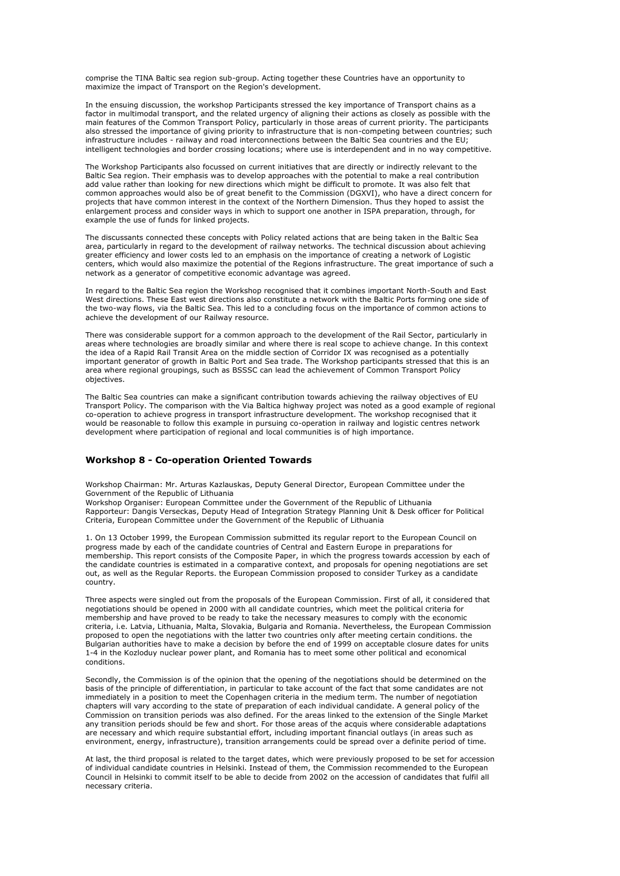comprise the TINA Baltic sea region sub-group. Acting together these Countries have an opportunity to maximize the impact of Transport on the Region's development.

In the ensuing discussion, the workshop Participants stressed the key importance of Transport chains as a factor in multimodal transport, and the related urgency of aligning their actions as closely as possible with the main features of the Common Transport Policy, particularly in those areas of current priority. The participants also stressed the importance of giving priority to infrastructure that is non-competing between countries; such infrastructure includes - railway and road interconnections between the Baltic Sea countries and the EU; intelligent technologies and border crossing locations; where use is interdependent and in no way competitive.

The Workshop Participants also focussed on current initiatives that are directly or indirectly relevant to the Baltic Sea region. Their emphasis was to develop approaches with the potential to make a real contribution add value rather than looking for new directions which might be difficult to promote. It was also felt that common approaches would also be of great benefit to the Commission (DGXVI), who have a direct concern for projects that have common interest in the context of the Northern Dimension. Thus they hoped to assist the enlargement process and consider ways in which to support one another in ISPA preparation, through, for example the use of funds for linked projects.

The discussants connected these concepts with Policy related actions that are being taken in the Baltic Sea area, particularly in regard to the development of railway networks. The technical discussion about achieving greater efficiency and lower costs led to an emphasis on the importance of creating a network of Logistic centers, which would also maximize the potential of the Regions infrastructure. The great importance of such a network as a generator of competitive economic advantage was agreed.

In regard to the Baltic Sea region the Workshop recognised that it combines important North-South and East West directions. These East west directions also constitute a network with the Baltic Ports forming one side of the two-way flows, via the Baltic Sea. This led to a concluding focus on the importance of common actions to achieve the development of our Railway resource.

There was considerable support for a common approach to the development of the Rail Sector, particularly in areas where technologies are broadly similar and where there is real scope to achieve change. In this context the idea of a Rapid Rail Transit Area on the middle section of Corridor IX was recognised as a potentially important generator of growth in Baltic Port and Sea trade. The Workshop participants stressed that this is an area where regional groupings, such as BSSSC can lead the achievement of Common Transport Policy objectives.

The Baltic Sea countries can make a significant contribution towards achieving the railway objectives of EU Transport Policy. The comparison with the Via Baltica highway project was noted as a good example of regional co-operation to achieve progress in transport infrastructure development. The workshop recognised that it would be reasonable to follow this example in pursuing co-operation in railway and logistic centres network development where participation of regional and local communities is of high importance.

## **Workshop 8 - Co-operation Oriented Towards**

Workshop Chairman: Mr. Arturas Kazlauskas, Deputy General Director, European Committee under the Government of the Republic of Lithuania

Workshop Organiser: European Committee under the Government of the Republic of Lithuania Rapporteur: Dangis Verseckas, Deputy Head of Integration Strategy Planning Unit & Desk officer for Political Criteria, European Committee under the Government of the Republic of Lithuania

1. On 13 October 1999, the European Commission submitted its regular report to the European Council on progress made by each of the candidate countries of Central and Eastern Europe in preparations for membership. This report consists of the Composite Paper, in which the progress towards accession by each of the candidate countries is estimated in a comparative context, and proposals for opening negotiations are set out, as well as the Regular Reports. the European Commission proposed to consider Turkey as a candidate country.

Three aspects were singled out from the proposals of the European Commission. First of all, it considered that negotiations should be opened in 2000 with all candidate countries, which meet the political criteria for membership and have proved to be ready to take the necessary measures to comply with the economic criteria, i.e. Latvia, Lithuania, Malta, Slovakia, Bulgaria and Romania. Nevertheless, the European Commission proposed to open the negotiations with the latter two countries only after meeting certain conditions. the Bulgarian authorities have to make a decision by before the end of 1999 on acceptable closure dates for units 1-4 in the Kozloduy nuclear power plant, and Romania has to meet some other political and economical conditions.

Secondly, the Commission is of the opinion that the opening of the negotiations should be determined on the basis of the principle of differentiation, in particular to take account of the fact that some candidates are not immediately in a position to meet the Copenhagen criteria in the medium term. The number of negotiation chapters will vary according to the state of preparation of each individual candidate. A general policy of the Commission on transition periods was also defined. For the areas linked to the extension of the Single Market any transition periods should be few and short. For those areas of the acquis where considerable adaptations are necessary and which require substantial effort, including important financial outlays (in areas such as environment, energy, infrastructure), transition arrangements could be spread over a definite period of time.

At last, the third proposal is related to the target dates, which were previously proposed to be set for accession of individual candidate countries in Helsinki. Instead of them, the Commission recommended to the European Council in Helsinki to commit itself to be able to decide from 2002 on the accession of candidates that fulfil all necessary criteria.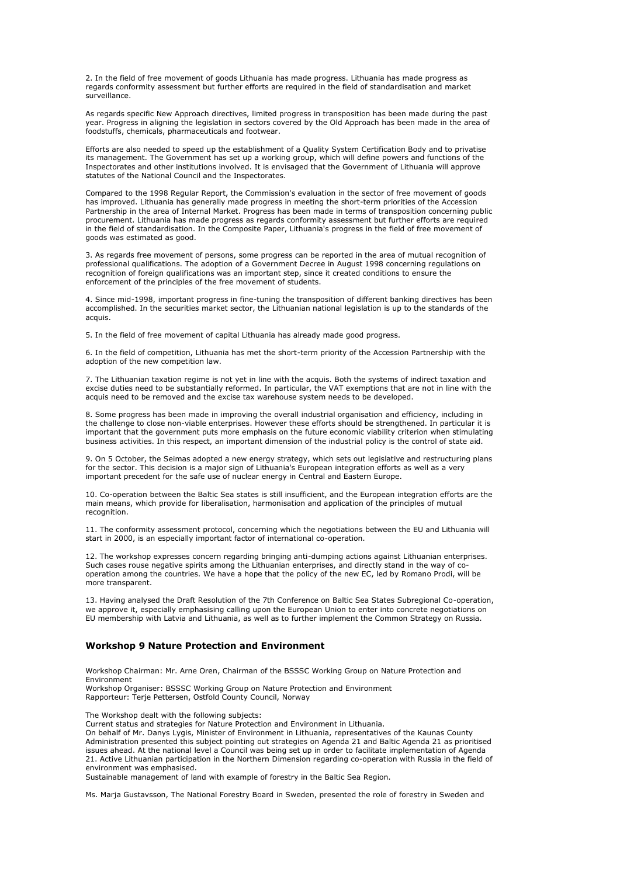2. In the field of free movement of goods Lithuania has made progress. Lithuania has made progress as regards conformity assessment but further efforts are required in the field of standardisation and market surveillance.

As regards specific New Approach directives, limited progress in transposition has been made during the past year. Progress in aligning the legislation in sectors covered by the Old Approach has been made in the area of foodstuffs, chemicals, pharmaceuticals and footwear.

Efforts are also needed to speed up the establishment of a Quality System Certification Body and to privatise its management. The Government has set up a working group, which will define powers and functions of the Inspectorates and other institutions involved. It is envisaged that the Government of Lithuania will approve statutes of the National Council and the Inspectorates.

Compared to the 1998 Regular Report, the Commission's evaluation in the sector of free movement of goods has improved. Lithuania has generally made progress in meeting the short-term priorities of the Accession Partnership in the area of Internal Market. Progress has been made in terms of transposition concerning public procurement. Lithuania has made progress as regards conformity assessment but further efforts are required in the field of standardisation. In the Composite Paper, Lithuania's progress in the field of free movement of goods was estimated as good.

3. As regards free movement of persons, some progress can be reported in the area of mutual recognition of professional qualifications. The adoption of a Government Decree in August 1998 concerning regulations on recognition of foreign qualifications was an important step, since it created conditions to ensure the enforcement of the principles of the free movement of students.

4. Since mid-1998, important progress in fine-tuning the transposition of different banking directives has been accomplished. In the securities market sector, the Lithuanian national legislation is up to the standards of the acquis.

5. In the field of free movement of capital Lithuania has already made good progress.

6. In the field of competition, Lithuania has met the short-term priority of the Accession Partnership with the adoption of the new competition law.

7. The Lithuanian taxation regime is not yet in line with the acquis. Both the systems of indirect taxation and excise duties need to be substantially reformed. In particular, the VAT exemptions that are not in line with the acquis need to be removed and the excise tax warehouse system needs to be developed.

8. Some progress has been made in improving the overall industrial organisation and efficiency, including in the challenge to close non-viable enterprises. However these efforts should be strengthened. In particular it is important that the government puts more emphasis on the future economic viability criterion when stimulating business activities. In this respect, an important dimension of the industrial policy is the control of state aid.

9. On 5 October, the Seimas adopted a new energy strategy, which sets out legislative and restructuring plans for the sector. This decision is a major sign of Lithuania's European integration efforts as well as a very important precedent for the safe use of nuclear energy in Central and Eastern Europe.

10. Co-operation between the Baltic Sea states is still insufficient, and the European integration efforts are the main means, which provide for liberalisation, harmonisation and application of the principles of mutual recognition.

11. The conformity assessment protocol, concerning which the negotiations between the EU and Lithuania will start in 2000, is an especially important factor of international co-operation.

12. The workshop expresses concern regarding bringing anti-dumping actions against Lithuanian enterprises. Such cases rouse negative spirits among the Lithuanian enterprises, and directly stand in the way of cooperation among the countries. We have a hope that the policy of the new EC, led by Romano Prodi, will be more transparent.

13. Having analysed the Draft Resolution of the 7th Conference on Baltic Sea States Subregional Co-operation, we approve it, especially emphasising calling upon the European Union to enter into concrete negotiations on EU membership with Latvia and Lithuania, as well as to further implement the Common Strategy on Russia.

### **Workshop 9 Nature Protection and Environment**

Workshop Chairman: Mr. Arne Oren, Chairman of the BSSSC Working Group on Nature Protection and Environment Workshop Organiser: BSSSC Working Group on Nature Protection and Environment

Rapporteur: Terje Pettersen, Ostfold County Council, Norway

The Workshop dealt with the following subjects:

Current status and strategies for Nature Protection and Environment in Lithuania.

On behalf of Mr. Danys Lygis, Minister of Environment in Lithuania, representatives of the Kaunas County Administration presented this subject pointing out strategies on Agenda 21 and Baltic Agenda 21 as prioritised issues ahead. At the national level a Council was being set up in order to facilitate implementation of Agenda 21. Active Lithuanian participation in the Northern Dimension regarding co-operation with Russia in the field of environment was emphasised.

Sustainable management of land with example of forestry in the Baltic Sea Region.

Ms. Marja Gustavsson, The National Forestry Board in Sweden, presented the role of forestry in Sweden and